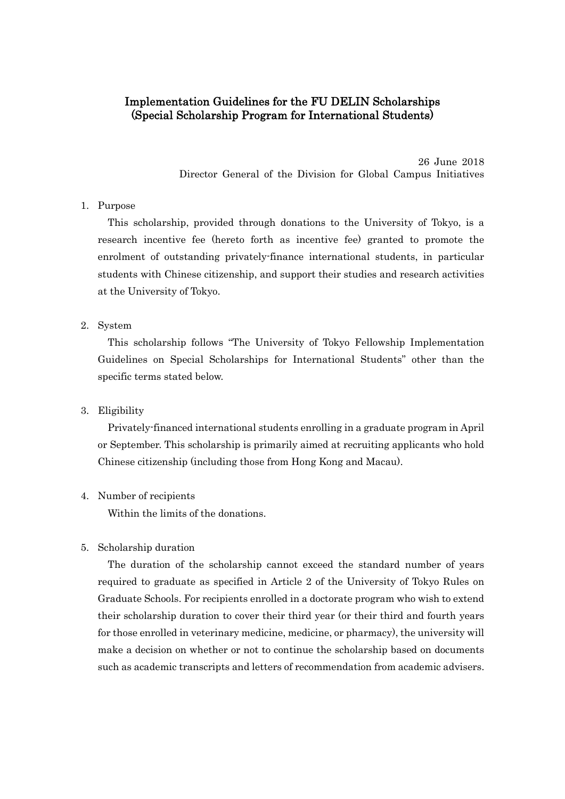# Implementation Guidelines for the FU DELIN Scholarships (Special Scholarship Program for International Students)

26 June 2018 Director General of the Division for Global Campus Initiatives

## 1. Purpose

This scholarship, provided through donations to the University of Tokyo, is a research incentive fee (hereto forth as incentive fee) granted to promote the enrolment of outstanding privately-finance international students, in particular students with Chinese citizenship, and support their studies and research activities at the University of Tokyo.

#### 2. System

This scholarship follows "The University of Tokyo Fellowship Implementation Guidelines on Special Scholarships for International Students" other than the specific terms stated below.

#### 3. Eligibility

Privately-financed international students enrolling in a graduate program in April or September. This scholarship is primarily aimed at recruiting applicants who hold Chinese citizenship (including those from Hong Kong and Macau).

#### 4. Number of recipients

Within the limits of the donations.

### 5. Scholarship duration

The duration of the scholarship cannot exceed the standard number of years required to graduate as specified in Article 2 of the University of Tokyo Rules on Graduate Schools. For recipients enrolled in a doctorate program who wish to extend their scholarship duration to cover their third year (or their third and fourth years for those enrolled in veterinary medicine, medicine, or pharmacy), the university will make a decision on whether or not to continue the scholarship based on documents such as academic transcripts and letters of recommendation from academic advisers.